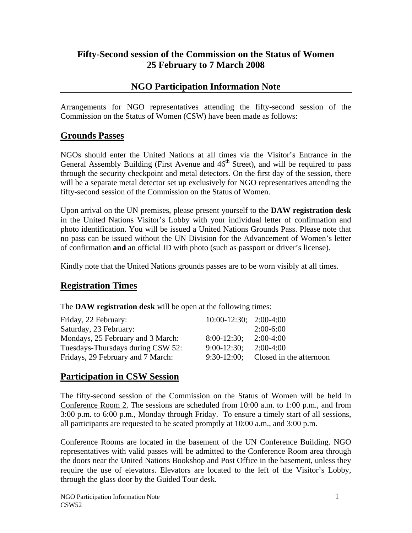# **Fifty-Second session of the Commission on the Status of Women 25 February to 7 March 2008**

# **NGO Participation Information Note**

Arrangements for NGO representatives attending the fifty-second session of the Commission on the Status of Women (CSW) have been made as follows:

#### **Grounds Passes**

NGOs should enter the United Nations at all times via the Visitor's Entrance in the General Assembly Building (First Avenue and  $46<sup>th</sup>$  Street), and will be required to pass through the security checkpoint and metal detectors. On the first day of the session, there will be a separate metal detector set up exclusively for NGO representatives attending the fifty-second session of the Commission on the Status of Women.

Upon arrival on the UN premises, please present yourself to the **DAW registration desk** in the United Nations Visitor's Lobby with your individual letter of confirmation and photo identification. You will be issued a United Nations Grounds Pass. Please note that no pass can be issued without the UN Division for the Advancement of Women's letter of confirmation **and** an official ID with photo (such as passport or driver's license).

Kindly note that the United Nations grounds passes are to be worn visibly at all times.

### **Registration Times**

The **DAW registration desk** will be open at the following times:

| Friday, 22 February:              | $10:00-12:30$ ; $2:00-4:00$ |                                        |
|-----------------------------------|-----------------------------|----------------------------------------|
| Saturday, 23 February:            |                             | $2:00-6:00$                            |
| Mondays, 25 February and 3 March: | $8:00-12:30;$               | $2:00-4:00$                            |
| Tuesdays-Thursdays during CSW 52: | $9:00-12:30;$               | $2:00-4:00$                            |
| Fridays, 29 February and 7 March: |                             | $9:30-12:00$ ; Closed in the afternoon |

### **Participation in CSW Session**

The fifty-second session of the Commission on the Status of Women will be held in Conference Room 2. The sessions are scheduled from 10:00 a.m. to 1:00 p.m., and from 3:00 p.m. to 6:00 p.m., Monday through Friday. To ensure a timely start of all sessions, all participants are requested to be seated promptly at 10:00 a.m., and 3:00 p.m.

Conference Rooms are located in the basement of the UN Conference Building. NGO representatives with valid passes will be admitted to the Conference Room area through the doors near the United Nations Bookshop and Post Office in the basement, unless they require the use of elevators. Elevators are located to the left of the Visitor's Lobby, through the glass door by the Guided Tour desk.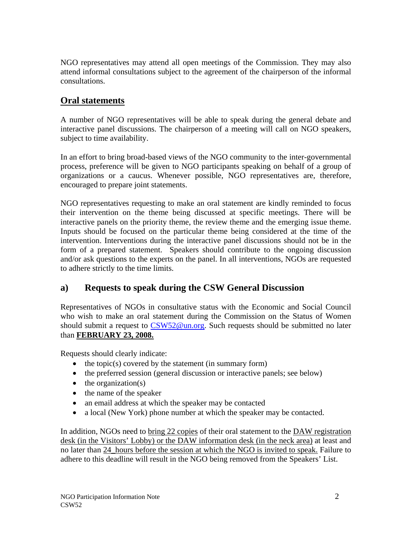NGO representatives may attend all open meetings of the Commission. They may also attend informal consultations subject to the agreement of the chairperson of the informal consultations.

# **Oral statements**

A number of NGO representatives will be able to speak during the general debate and interactive panel discussions. The chairperson of a meeting will call on NGO speakers, subject to time availability.

In an effort to bring broad-based views of the NGO community to the inter-governmental process, preference will be given to NGO participants speaking on behalf of a group of organizations or a caucus. Whenever possible, NGO representatives are, therefore, encouraged to prepare joint statements.

NGO representatives requesting to make an oral statement are kindly reminded to focus their intervention on the theme being discussed at specific meetings. There will be interactive panels on the priority theme, the review theme and the emerging issue theme. Inputs should be focused on the particular theme being considered at the time of the intervention. Interventions during the interactive panel discussions should not be in the form of a prepared statement. Speakers should contribute to the ongoing discussion and/or ask questions to the experts on the panel. In all interventions, NGOs are requested to adhere strictly to the time limits.

# **a) Requests to speak during the CSW General Discussion**

Representatives of NGOs in consultative status with the Economic and Social Council who wish to make an oral statement during the Commission on the Status of Women should submit a request to [CSW52@un.org.](mailto:CSW52@un.org) Such requests should be submitted no later than **FEBRUARY 23, 2008.**

Requests should clearly indicate:

- the topic(s) covered by the statement (in summary form)
- the preferred session (general discussion or interactive panels; see below)
- $\bullet$  the organization(s)
- the name of the speaker
- an email address at which the speaker may be contacted
- a local (New York) phone number at which the speaker may be contacted.

In addition, NGOs need to bring 22 copies of their oral statement to the DAW registration desk (in the Visitors' Lobby) or the DAW information desk (in the neck area) at least and no later than 24\_hours before the session at which the NGO is invited to speak. Failure to adhere to this deadline will result in the NGO being removed from the Speakers' List.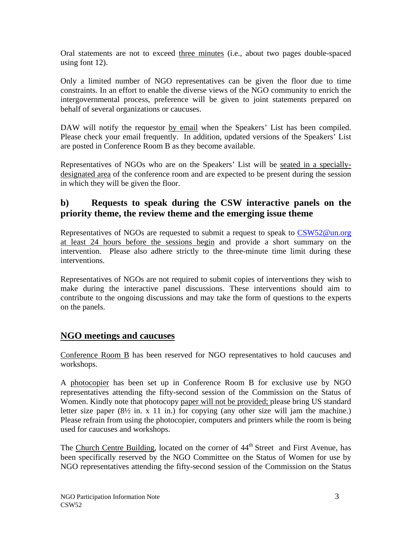Oral statements are not to exceed three minutes (i.e., about two pages double-spaced using font 12).

Only a limited number of NGO representatives can be given the floor due to time constraints. In an effort to enable the diverse views of the NGO community to enrich the intergovernmental process, preference will be given to joint statements prepared on behalf of several organizations or caucuses.

DAW will notify the requestor by email when the Speakers' List has been compiled. Please check your email frequently. In addition, updated versions of the Speakers' List are posted in Conference Room B as they become available.

Representatives of NGOs who are on the Speakers' List will be seated in a speciallydesignated area of the conference room and are expected to be present during the session in which they will be given the floor.

### **b) Requests to speak during the CSW interactive panels on the priority theme, the review theme and the emerging issue theme**

Representatives of NGOs are requested to submit a request to speak to [CSW52@un.org](mailto:CSW52@un.org) at least 24 hours before the sessions begin and provide a short summary on the intervention. Please also adhere strictly to the three-minute time limit during these interventions.

Representatives of NGOs are not required to submit copies of interventions they wish to make during the interactive panel discussions. These interventions should aim to contribute to the ongoing discussions and may take the form of questions to the experts on the panels.

### **NGO meetings and caucuses**

Conference Room B has been reserved for NGO representatives to hold caucuses and workshops.

A photocopier has been set up in Conference Room B for exclusive use by NGO representatives attending the fifty-second session of the Commission on the Status of Women. Kindly note that photocopy paper will not be provided; please bring US standard letter size paper  $(8\frac{1}{2}$  in. x 11 in.) for copying (any other size will jam the machine.) Please refrain from using the photocopier, computers and printers while the room is being used for caucuses and workshops.

The Church Centre Building, located on the corner of 44<sup>th</sup> Street and First Avenue, has been specifically reserved by the NGO Committee on the Status of Women for use by NGO representatives attending the fifty-second session of the Commission on the Status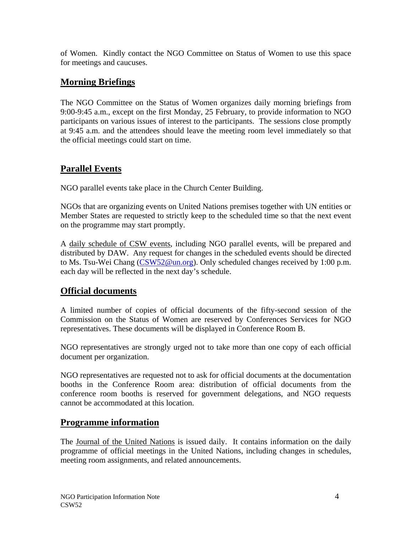of Women. Kindly contact the NGO Committee on Status of Women to use this space for meetings and caucuses.

### **Morning Briefings**

The NGO Committee on the Status of Women organizes daily morning briefings from 9:00-9:45 a.m., except on the first Monday, 25 February, to provide information to NGO participants on various issues of interest to the participants. The sessions close promptly at 9:45 a.m. and the attendees should leave the meeting room level immediately so that the official meetings could start on time.

### **Parallel Events**

NGO parallel events take place in the Church Center Building.

NGOs that are organizing events on United Nations premises together with UN entities or Member States are requested to strictly keep to the scheduled time so that the next event on the programme may start promptly.

A daily schedule of CSW events, including NGO parallel events, will be prepared and distributed by DAW. Any request for changes in the scheduled events should be directed to Ms. Tsu-Wei Chang [\(CSW52@un.org](mailto:CSW52@un.org)). Only scheduled changes received by 1:00 p.m. each day will be reflected in the next day's schedule.

# **Official documents**

A limited number of copies of official documents of the fifty-second session of the Commission on the Status of Women are reserved by Conferences Services for NGO representatives. These documents will be displayed in Conference Room B.

NGO representatives are strongly urged not to take more than one copy of each official document per organization.

NGO representatives are requested not to ask for official documents at the documentation booths in the Conference Room area: distribution of official documents from the conference room booths is reserved for government delegations, and NGO requests cannot be accommodated at this location.

### **Programme information**

The Journal of the United Nations is issued daily. It contains information on the daily programme of official meetings in the United Nations, including changes in schedules, meeting room assignments, and related announcements.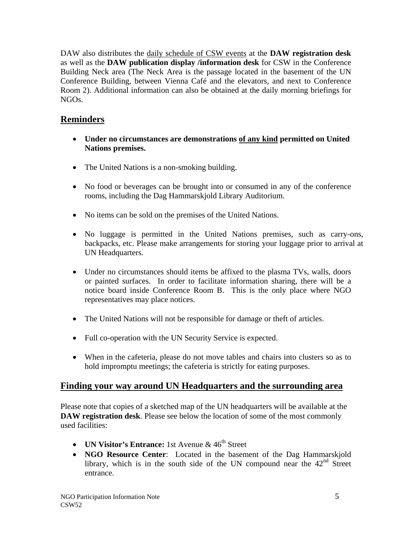DAW also distributes the daily schedule of CSW events at the **DAW registration desk** as well as the **DAW publication display /information desk** for CSW in the Conference Building Neck area (The Neck Area is the passage located in the basement of the UN Conference Building, between Vienna Café and the elevators, and next to Conference Room 2). Additional information can also be obtained at the daily morning briefings for NGOs.

### **Reminders**

- **Under no circumstances are demonstrations of any kind permitted on United Nations premises.**
- The United Nations is a non-smoking building.
- No food or beverages can be brought into or consumed in any of the conference rooms, including the Dag Hammarskjold Library Auditorium.
- No items can be sold on the premises of the United Nations.
- No luggage is permitted in the United Nations premises, such as carry-ons, backpacks, etc. Please make arrangements for storing your luggage prior to arrival at UN Headquarters.
- Under no circumstances should items be affixed to the plasma TVs, walls, doors or painted surfaces. In order to facilitate information sharing, there will be a notice board inside Conference Room B. This is the only place where NGO representatives may place notices.
- The United Nations will not be responsible for damage or the ft of articles.
- Full co-operation with the UN Security Service is expected.
- When in the cafeteria, please do not move tables and chairs into clusters so as to hold impromptu meetings; the cafeteria is strictly for eating purposes.

# **Finding your way around UN Headquarters and the surrounding area**

Please note that copies of a sketched map of the UN headquarters will be available at the **DAW registration desk**. Please see below the location of some of the most commonly used facilities:

- **UN Visitor's Entrance:** 1st Avenue & 46<sup>th</sup> Street
- **NGO Resource Center**: Located in the basement of the Dag Hammarskjold library, which is in the south side of the UN compound near the  $42<sup>nd</sup>$  Street entrance.